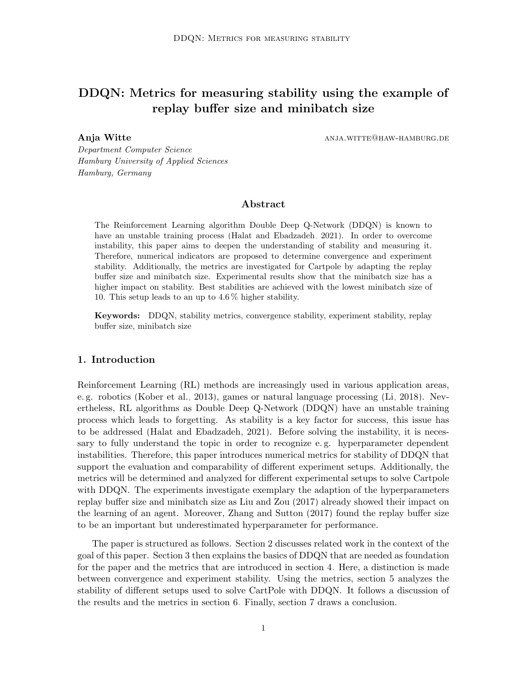# DDQN: Metrics for measuring stability using the example of replay buffer size and minibatch size

Anja Witte

ANJA.WITTE@HAW-HAMBURG.DE

Department Computer Science Hamburg University of Applied Sciences Hamburg, Germany

### Abstract

The Reinforcement Learning algorithm Double Deep Q-Network (DDQN) is known to have an unstable training process (Halat and Ebadzadeh, 2021). In order to overcome instability, this paper aims to deepen the understanding of stability and measuring it. Therefore, numerical indicators are proposed to determine convergence and experiment stability. Additionally, the metrics are investigated for Cartpole by adapting the replay buffer size and minibatch size. Experimental results show that the minibatch size has a higher impact on stability. Best stabilities are achieved with the lowest minibatch size of 10. This setup leads to an up to  $4.6\%$  higher stability.

**Keywords:** DDQN, stability metrics, convergence stability, experiment stability, replay buffer size, minibatch size

### 1. Introduction

Reinforcement Learning (RL) methods are increasingly used in various application areas, e.g. robotics (Kober et al., 2013), games or natural language processing (Li, 2018). Nevertheless, RL algorithms as Double Deep Q-Network (DDQN) have an unstable training process which leads to forgetting. As stability is a key factor for success, this issue has to be addressed (Halat and Ebadzadeh, 2021). Before solving the instability, it is necessary to fully understand the topic in order to recognize e.g. hyperparameter dependent instabilities. Therefore, this paper introduces numerical metrics for stability of DDQN that support the evaluation and comparability of different experiment setups. Additionally, the metrics will be determined and analyzed for different experimental setups to solve Cartpole with DDQN. The experiments investigate exemplary the adaption of the hyperparameters replay buffer size and minibatch size as Liu and Zou (2017) already showed their impact on the learning of an agent. Moreover, Zhang and Sutton (2017) found the replay buffer size to be an important but underestimated hyperparameter for performance.

The paper is structured as follows. Section 2 discusses related work in the context of the goal of this paper. Section 3 then explains the basics of DDQN that are needed as foundation for the paper and the metrics that are introduced in section 4. Here, a distinction is made between convergence and experiment stability. Using the metrics, section 5 analyzes the stability of different setups used to solve CartPole with DDQN. It follows a discussion of the results and the metrics in section 6. Finally, section 7 draws a conclusion.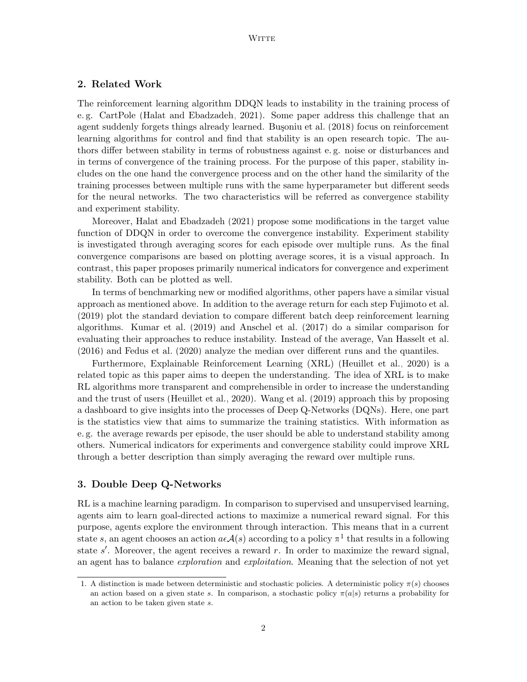### 2. Related Work

The reinforcement learning algorithm DDQN leads to instability in the training process of e.g. CartPole (Halat and Ebadzadeh, 2021). Some paper address this challenge that an agent suddenly forgets things already learned. Busoniu et al. (2018) focus on reinforcement learning algorithms for control and find that stability is an open research topic. The authors differ between stability in terms of robustness against e.g. noise or disturbances and in terms of convergence of the training process. For the purpose of this paper, stability includes on the one hand the convergence process and on the other hand the similarity of the training processes between multiple runs with the same hyperparameter but different seeds for the neural networks. The two characteristics will be referred as convergence stability and experiment stability.

Moreover, Halat and Ebadzadeh (2021) propose some modifications in the target value function of DDQN in order to overcome the convergence instability. Experiment stability is investigated through averaging scores for each episode over multiple runs. As the final convergence comparisons are based on plotting average scores, it is a visual approach. In contrast, this paper proposes primarily numerical indicators for convergence and experiment stability. Both can be plotted as well.

In terms of benchmarking new or modified algorithms, other papers have a similar visual approach as mentioned above. In addition to the average return for each step Fujimoto et al. (2019) plot the standard deviation to compare different batch deep reinforcement learning algorithms. Kumar et al. (2019) and Anschel et al. (2017) do a similar comparison for evaluating their approaches to reduce instability. Instead of the average, Van Hasselt et al.  $(2016)$  and Fedus et al.  $(2020)$  analyze the median over different runs and the quantiles.

Furthermore, Explainable Reinforcement Learning (XRL) (Heuillet et al., 2020) is a related topic as this paper aims to deepen the understanding. The idea of XRL is to make RL algorithms more transparent and comprehensible in order to increase the understanding and the trust of users (Heuillet et al., 2020). Wang et al. (2019) approach this by proposing a dashboard to give insights into the processes of Deep Q-Networks (DQNs). Here, one part is the statistics view that aims to summarize the training statistics. With information as e.g. the average rewards per episode, the user should be able to understand stability among others. Numerical indicators for experiments and convergence stability could improve XRL through a better description than simply averaging the reward over multiple runs.

#### 3. Double Deep Q-Networks

RL is a machine learning paradigm. In comparison to supervised and unsupervised learning, agents aim to learn goal-directed actions to maximize a numerical reward signal. For this purpose, agents explore the environment through interaction. This means that in a current state s, an agent chooses an action  $a\epsilon\mathcal{A}(s)$  according to a policy  $\pi^1$  that results in a following state s'. Moreover, the agent receives a reward r. In order to maximize the reward signal, an agent has to balance *exploration* and *exploitation*. Meaning that the selection of not yet

<sup>1.</sup> A distinction is made between deterministic and stochastic policies. A deterministic policy  $\pi(s)$  chooses an action based on a given state s. In comparison, a stochastic policy  $\pi(a|s)$  returns a probability for an action to be taken given state  $s$ .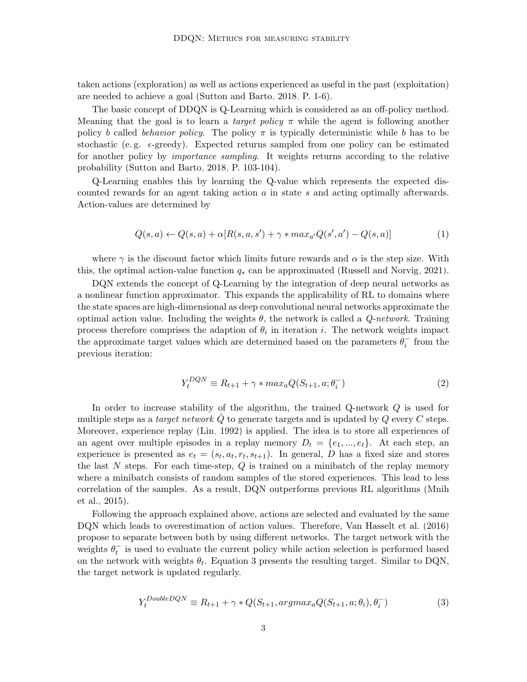taken actions (exploration) as well as actions experienced as useful in the past (exploitation) are needed to achieve a goal (Sutton and Barto, 2018, P. 1-6).

The basic concept of DDQN is Q-Learning which is considered as an off-policy method. Meaning that the goal is to learn a *target policy*  $\pi$  while the agent is following another policy b called behavior policy. The policy  $\pi$  is typically deterministic while b has to be stochastic (e.g.  $\epsilon$ -greedy). Expected returns sampled from one policy can be estimated for another policy by *importance sampling*. It weights returns according to the relative probability (Sutton and Barto, 2018, P. 103-104).

Q-Learning enables this by learning the Q-value which represents the expected discounted rewards for an agent taking action  $a$  in state  $s$  and acting optimally afterwards. Action-values are determined by

$$
Q(s,a) \leftarrow Q(s,a) + \alpha [R(s,a,s') + \gamma * \max_{a'} Q(s',a') - Q(s,a)] \tag{1}
$$

where  $\gamma$  is the discount factor which limits future rewards and  $\alpha$  is the step size. With this, the optimal action-value function  $q_*$  can be approximated (Russell and Norvig, 2021).

DQN extends the concept of Q-Learning by the integration of deep neural networks as a nonlinear function approximator. This expands the applicability of RL to domains where the state spaces are high-dimensional as deep convolutional neural networks approximate the optimal action value. Including the weights  $\theta$ , the network is called a *Q-network*. Training process therefore comprises the adaption of  $\theta_i$  in iteration i. The network weights impact the approximate target values which are determined based on the parameters  $\theta_i^{\dagger}$  from the previous iteration:

$$
Y_t^{DQN} \equiv R_{t+1} + \gamma * max_a Q(S_{t+1}, a; \theta_i^{-})
$$
\n
$$
(2)
$$

In order to increase stability of the algorithm, the trained Q-network  $Q$  is used for multiple steps as a *target network*  $Q$  to generate targets and is updated by  $Q$  every  $C$  steps. Moreover, experience replay (Lin, 1992) is applied. The idea is to store all experiences of an agent over multiple episodes in a replay memory  $D_t = \{e_1, ..., e_t\}$ . At each step, an experience is presented as  $e_t = (s_t, a_t, r_t, s_{t+1})$ . In general, D has a fixed size and stores the last N steps. For each time-step,  $Q$  is trained on a minibatch of the replay memory where a minibatch consists of random samples of the stored experiences. This lead to less correlation of the samples. As a result, DQN outperforms previous RL algorithms (Mnih  $et al., 2015).$ 

Following the approach explained above, actions are selected and evaluated by the same DQN which leads to overestimation of action values. Therefore, Van Hasselt et al. (2016) propose to separate between both by using different networks. The target network with the weights  $\theta_t^-$  is used to evaluate the current policy while action selection is performed based on the network with weights  $\theta_t$ . Equation 3 presents the resulting target. Similar to DQN, the target network is updated regularly.

$$
Y_t^{DoubleDQN} \equiv R_{t+1} + \gamma \cdot Q(S_{t+1}, \arg\max_a Q(S_{t+1}, a; \theta_i), \theta_i^-)
$$
\n
$$
(3)
$$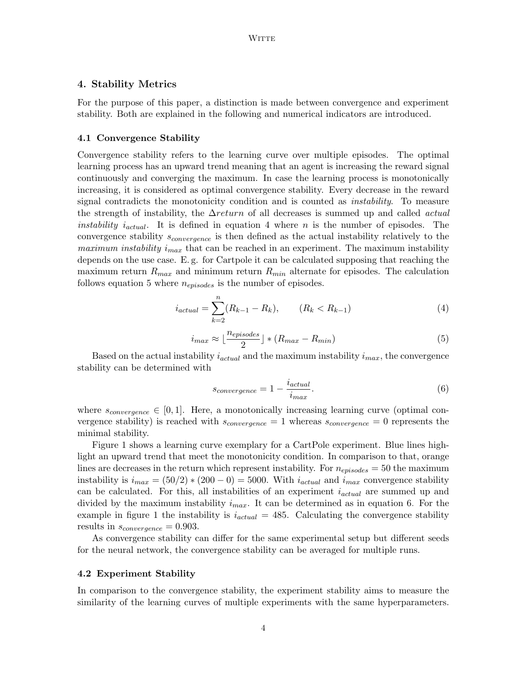### 4. Stability Metrics

For the purpose of this paper, a distinction is made between convergence and experiment stability. Both are explained in the following and numerical indicators are introduced.

#### 4.1 Convergence Stability

Convergence stability refers to the learning curve over multiple episodes. The optimal learning process has an upward trend meaning that an agent is increasing the reward signal continuously and converging the maximum. In case the learning process is monotonically increasing, it is considered as optimal convergence stability. Every decrease in the reward signal contradicts the monotonicity condition and is counted as *instability*. To measure the strength of instability, the  $\Delta return$  of all decreases is summed up and called *actual instability i<sub>actual</sub>*. It is defined in equation 4 where *n* is the number of episodes. The convergence stability  $s_{convergence}$  is then defined as the actual instability relatively to the *maximum instability i<sub>max</sub>* that can be reached in an experiment. The maximum instability depends on the use case. E.g. for Cartpole it can be calculated supposing that reaching the maximum return  $R_{max}$  and minimum return  $R_{min}$  alternate for episodes. The calculation follows equation 5 where  $n_{episodes}$  is the number of episodes.

$$
i_{actual} = \sum_{k=2}^{n} (R_{k-1} - R_k), \qquad (R_k < R_{k-1}) \tag{4}
$$

$$
i_{max} \approx \lfloor \frac{n_{episodes}}{2} \rfloor * (R_{max} - R_{min}) \tag{5}
$$

Based on the actual instability  $i_{actual}$  and the maximum instability  $i_{max}$ , the convergence stability can be determined with

$$
s_{convergence} = 1 - \frac{i_{actual}}{i_{max}}.\t(6)
$$

where  $s_{convergence} \in [0,1]$ . Here, a monotonically increasing learning curve (optimal convergence stability) is reached with  $s_{convergence} = 1$  whereas  $s_{convergence} = 0$  represents the minimal stability.

Figure 1 shows a learning curve exemplary for a CartPole experiment. Blue lines highlight an upward trend that meet the monotonicity condition. In comparison to that, orange lines are decreases in the return which represent instability. For  $n_{episodes} = 50$  the maximum instability is  $i_{max} = (50/2) * (200 - 0) = 5000$ . With  $i_{actual}$  and  $i_{max}$  convergence stability can be calculated. For this, all instabilities of an experiment  $i_{actual}$  are summed up and divided by the maximum instability  $i_{max}$ . It can be determined as in equation 6. For the example in figure 1 the instability is  $i_{actual} = 485$ . Calculating the convergence stability results in  $s_{convergence} = 0.903$ .

As convergence stability can differ for the same experimental setup but different seeds for the neural network, the convergence stability can be averaged for multiple runs.

#### 4.2 Experiment Stability

In comparison to the convergence stability, the experiment stability aims to measure the similarity of the learning curves of multiple experiments with the same hyperparameters.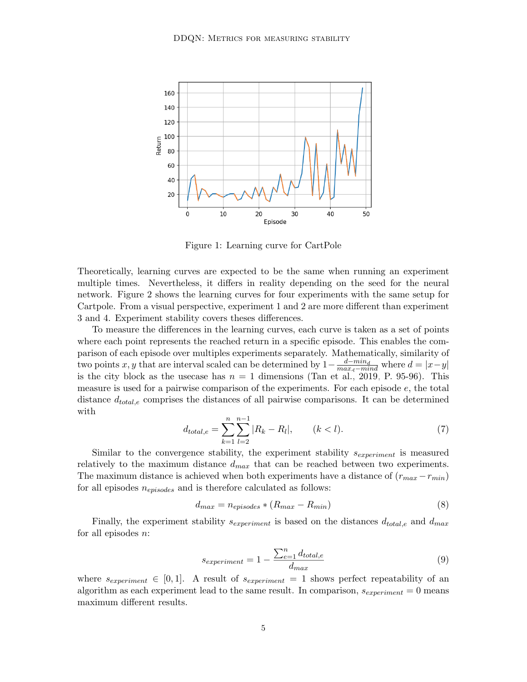

Figure 1: Learning curve for CartPole

Theoretically, learning curves are expected to be the same when running an experiment multiple times. Nevertheless, it differs in reality depending on the seed for the neural network. Figure 2 shows the learning curves for four experiments with the same setup for Cartpole. From a visual perspective, experiment 1 and 2 are more different than experiment 3 and 4. Experiment stability covers theses differences.

To measure the differences in the learning curves, each curve is taken as a set of points where each point represents the reached return in a specific episode. This enables the comparison of each episode over multiples experiments separately. Mathematically, similarity of two points x, y that are interval scaled can be determined by  $1 - \frac{d - min_d}{max_d - min_d}$  where  $d = |x - y|$ <br>is the city block as the usecase has  $n = 1$  dimensions (Tan et al., 2019, P. 95-96). This measure is used for a pairwise comparison of the experiments. For each episode  $e$ , the total distance  $d_{total,e}$  comprises the distances of all pairwise comparisons. It can be determined  $\quad$ 

$$
d_{total,e} = \sum_{k=1}^{n} \sum_{l=2}^{n-1} |R_k - R_l|, \qquad (k < l). \tag{7}
$$

Similar to the convergence stability, the experiment stability  $s_{experiment}$  is measured relatively to the maximum distance  $d_{max}$  that can be reached between two experiments. The maximum distance is achieved when both experiments have a distance of  $(r_{max} - r_{min})$ for all episodes  $n_{enisodes}$  and is therefore calculated as follows:

$$
d_{max} = n_{enisodes} * (R_{max} - R_{min})
$$
\n(8)

Finally, the experiment stability  $s_{experiment}$  is based on the distances  $d_{total,e}$  and  $d_{max}$ for all episodes  $n$ :

$$
s_{experiment} = 1 - \frac{\sum_{e=1}^{n} d_{total,e}}{d_{max}}
$$
\n
$$
(9)
$$

where  $s_{experiment} \in [0,1]$ . A result of  $s_{experiment} = 1$  shows perfect repeatability of an algorithm as each experiment lead to the same result. In comparison,  $s_{experiment} = 0$  means maximum different results.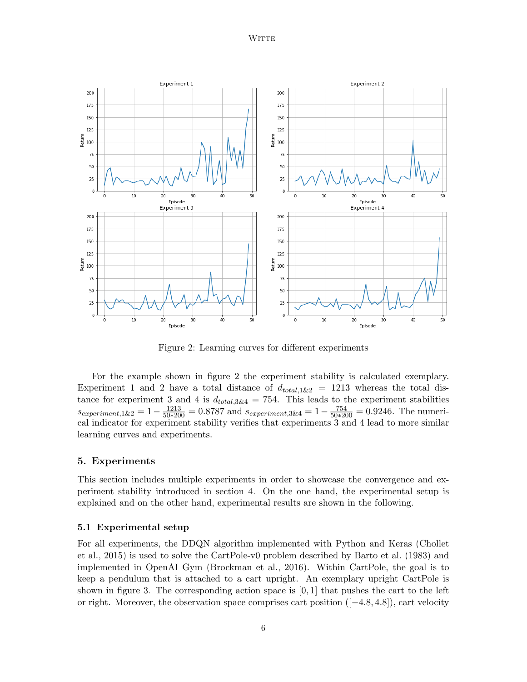

Figure 2: Learning curves for different experiments

For the example shown in figure 2 the experiment stability is calculated exemplary. Experiment 1 and 2 have a total distance of  $d_{total,1\&2}$  = 1213 whereas the total distance for experiment 3 and 4 is  $d_{total,3\&4} = 754$ . This leads to the experiment stabilities  $s_{experiment,1\&2} = 1 - \frac{1213}{50*200} = 0.8787$  and  $s_{experiment,3\&4} = 1 - \frac{754}{50*200} = 0.9246$ . The numerical indicator for experiment stability verifies that experiments 3 and 4 lead to more similar learning curves and experiments.

### 5. Experiments

This section includes multiple experiments in order to showcase the convergence and experiment stability introduced in section 4. On the one hand, the experimental setup is explained and on the other hand, experimental results are shown in the following.

#### 5.1 Experimental setup

For all experiments, the DDQN algorithm implemented with Python and Keras (Chollet et al., 2015) is used to solve the CartPole-v0 problem described by Barto et al.  $(1983)$  and implemented in OpenAI Gym (Brockman et al., 2016). Within CartPole, the goal is to keep a pendulum that is attached to a cart upright. An exemplary upright CartPole is shown in figure 3. The corresponding action space is  $[0,1]$  that pushes the cart to the left or right. Moreover, the observation space comprises cart position  $([-4.8, 4.8])$ , cart velocity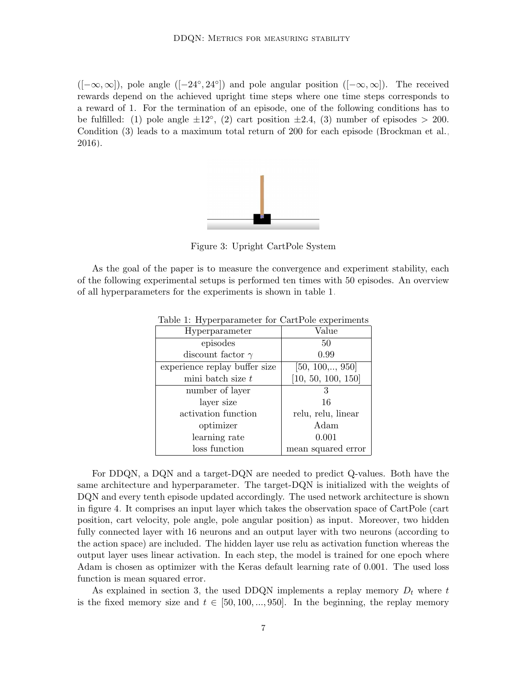$([-\infty,\infty])$ , pole angle  $([-24^{\circ}, 24^{\circ}])$  and pole angular position  $([-\infty,\infty])$ . The received rewards depend on the achieved upright time steps where one time steps corresponds to a reward of 1. For the termination of an episode, one of the following conditions has to be fulfilled: (1) pole angle  $\pm 12^{\circ}$ , (2) cart position  $\pm 2.4$ , (3) number of episodes > 200. Condition (3) leads to a maximum total return of 200 for each episode (Brockman et al.,  $2016$ ).



Figure 3: Upright CartPole System

As the goal of the paper is to measure the convergence and experiment stability, each of the following experimental setups is performed ten times with 50 episodes. An overview of all hyperparameters for the experiments is shown in table 1.

| Hyperparameter                | Value                    |
|-------------------------------|--------------------------|
| episodes                      | 50                       |
| discount factor $\gamma$      | 0.99                     |
| experience replay buffer size | $[50, 100, \ldots, 950]$ |
| mini batch size t             | [10, 50, 100, 150]       |
| number of layer               | 3                        |
| layer size                    | 16                       |
| activation function           | relu, relu, linear       |
| optimizer                     | Adam                     |
| learning rate                 | 0.001                    |
| loss function                 | mean squared error       |
|                               |                          |

Table 1: Hyperparameter for CartPole experiments

For DDQN, a DQN and a target-DQN are needed to predict Q-values. Both have the same architecture and hyperparameter. The target-DQN is initialized with the weights of DQN and every tenth episode updated accordingly. The used network architecture is shown in figure 4. It comprises an input layer which takes the observation space of CartPole (cart position, cart velocity, pole angle, pole angular position) as input. Moreover, two hidden fully connected layer with 16 neurons and an output layer with two neurons (according to the action space) are included. The hidden layer use relu as activation function whereas the output layer uses linear activation. In each step, the model is trained for one epoch where Adam is chosen as optimizer with the Keras default learning rate of 0.001. The used loss function is mean squared error.

As explained in section 3, the used DDQN implements a replay memory  $D_t$  where t is the fixed memory size and  $t \in [50, 100, ..., 950]$ . In the beginning, the replay memory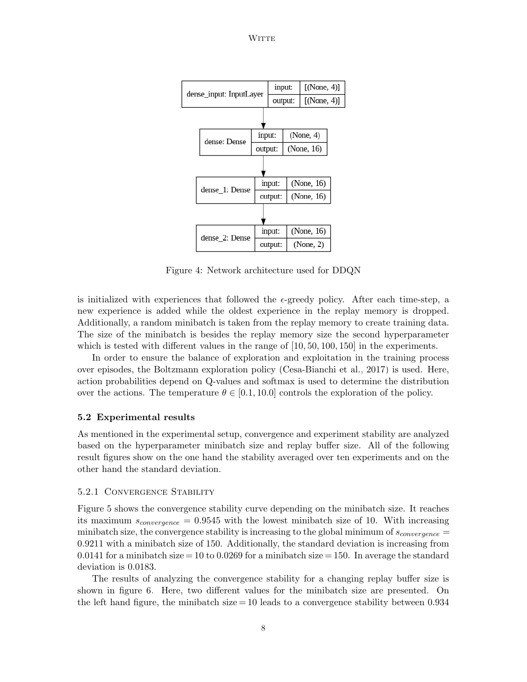**WITTE** 



Figure 4: Network architecture used for DDQN

is initialized with experiences that followed the  $\epsilon$ -greedy policy. After each time-step, a new experience is added while the oldest experience in the replay memory is dropped. Additionally, a random minibatch is taken from the replay memory to create training data. The size of the minibatch is besides the replay memory size the second hyperparameter which is tested with different values in the range of  $[10, 50, 100, 150]$  in the experiments.

In order to ensure the balance of exploration and exploitation in the training process over episodes, the Boltzmann exploration policy (Cesa-Bianchi et al., 2017) is used. Here, action probabilities depend on Q-values and softmax is used to determine the distribution over the actions. The temperature  $\theta \in [0.1, 10.0]$  controls the exploration of the policy.

#### 5.2 Experimental results

As mentioned in the experimental setup, convergence and experiment stability are analyzed based on the hyperparameter minibatch size and replay buffer size. All of the following result figures show on the one hand the stability averaged over ten experiments and on the other hand the standard deviation.

### 5.2.1 CONVERGENCE STABILITY

Figure 5 shows the convergence stability curve depending on the minibatch size. It reaches its maximum  $s_{convergence} = 0.9545$  with the lowest minibatch size of 10. With increasing minibatch size, the convergence stability is increasing to the global minimum of  $s_{convergence}$ 0.9211 with a minibatch size of 150. Additionally, the standard deviation is increasing from 0.0141 for a minibatch size = 10 to 0.0269 for a minibatch size = 150. In average the standard deviation is 0.0183.

The results of analyzing the convergence stability for a changing replay buffer size is shown in figure 6. Here, two different values for the minibatch size are presented. On the left hand figure, the minibatch size  $=10$  leads to a convergence stability between 0.934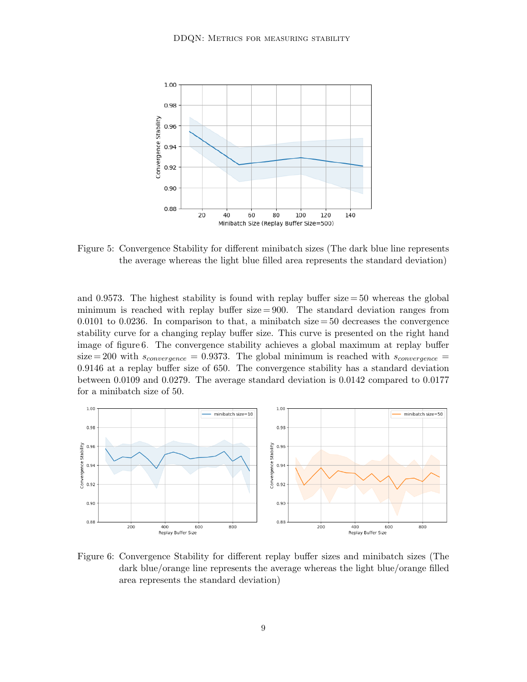

Figure 5: Convergence Stability for different minibatch sizes (The dark blue line represents the average whereas the light blue filled area represents the standard deviation)

and 0.9573. The highest stability is found with replay buffer  $size = 50$  whereas the global minimum is reached with replay buffer  $size = 900$ . The standard deviation ranges from 0.0101 to 0.0236. In comparison to that, a minibatch size  $=$  50 decreases the convergence stability curve for a changing replay buffer size. This curve is presented on the right hand image of figure 6. The convergence stability achieves a global maximum at replay buffer size = 200 with  $s_{convergence} = 0.9373$ . The global minimum is reached with  $s_{convergence} =$ 0.9146 at a replay buffer size of 650. The convergence stability has a standard deviation between 0.0109 and 0.0279. The average standard deviation is  $0.0142$  compared to  $0.0177$ for a minibatch size of 50.



Figure 6: Convergence Stability for different replay buffer sizes and minibatch sizes (The dark blue/orange line represents the average whereas the light blue/orange filled area represents the standard deviation)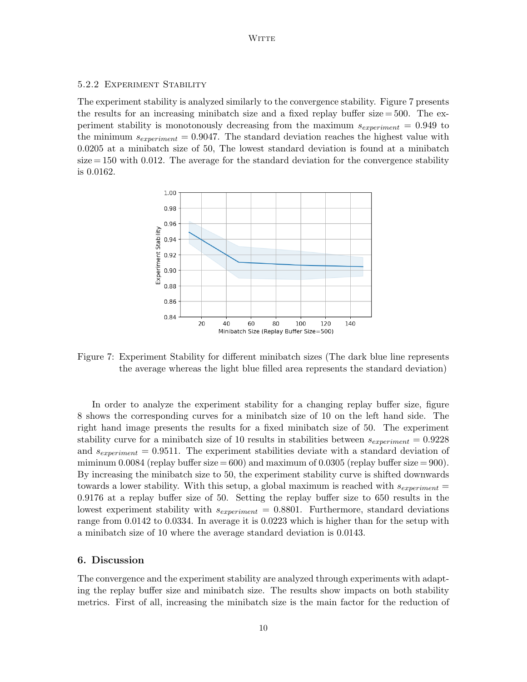**WITTE** 

### 5.2.2 EXPERIMENT STABILITY

The experiment stability is analyzed similarly to the convergence stability. Figure 7 presents the results for an increasing minibatch size and a fixed replay buffer size  $=$  500. The experiment stability is monotonously decreasing from the maximum  $s_{experiment} = 0.949$  to the minimum  $s_{experiment} = 0.9047$ . The standard deviation reaches the highest value with  $0.0205$  at a minibatch size of 50, The lowest standard deviation is found at a minibatch  $size = 150$  with 0.012. The average for the standard deviation for the convergence stability is 0.0162.



Figure 7: Experiment Stability for different minibatch sizes (The dark blue line represents the average whereas the light blue filled area represents the standard deviation)

In order to analyze the experiment stability for a changing replay buffer size, figure 8 shows the corresponding curves for a minibatch size of 10 on the left hand side. The right hand image presents the results for a fixed minibatch size of 50. The experiment stability curve for a minibatch size of 10 results in stabilities between  $s_{experiment} = 0.9228$ and  $s_{experiment} = 0.9511$ . The experiment stabilities deviate with a standard deviation of miminum 0.0084 (replay buffer size = 600) and maximum of 0.0305 (replay buffer size = 900). By increasing the minibatch size to 50, the experiment stability curve is shifted downwards towards a lower stability. With this setup, a global maximum is reached with  $s_{experiment}$  =  $0.9176$  at a replay buffer size of 50. Setting the replay buffer size to 650 results in the lowest experiment stability with  $s_{experiment} = 0.8801$ . Furthermore, standard deviations range from 0.0142 to 0.0334. In average it is 0.0223 which is higher than for the setup with a minibatch size of 10 where the average standard deviation is 0.0143.

#### 6. Discussion

The convergence and the experiment stability are analyzed through experiments with adapting the replay buffer size and minibatch size. The results show impacts on both stability metrics. First of all, increasing the minibatch size is the main factor for the reduction of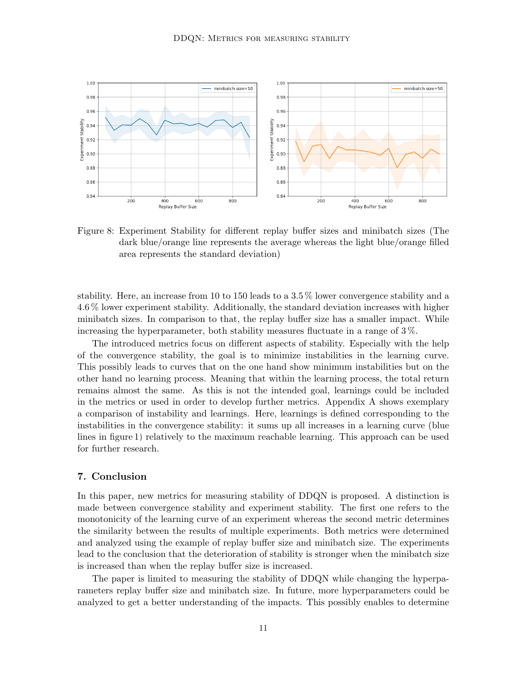

Figure 8: Experiment Stability for different replay buffer sizes and minibatch sizes (The dark blue/orange line represents the average whereas the light blue/orange filled area represents the standard deviation)

stability. Here, an increase from 10 to 150 leads to a 3.5  $\%$  lower convergence stability and a 4.6 % lower experiment stability. Additionally, the standard deviation increases with higher minibatch sizes. In comparison to that, the replay buffer size has a smaller impact. While increasing the hyperparameter, both stability measures fluctuate in a range of 3%.

The introduced metrics focus on different aspects of stability. Especially with the help of the convergence stability, the goal is to minimize instabilities in the learning curve. This possibly leads to curves that on the one hand show minimum instabilities but on the other hand no learning process. Meaning that within the learning process, the total return remains almost the same. As this is not the intended goal, learnings could be included in the metrics or used in order to develop further metrics. Appendix A shows exemplary a comparison of instability and learnings. Here, learnings is defined corresponding to the instabilities in the convergence stability: it sums up all increases in a learning curve (blue lines in figure 1) relatively to the maximum reachable learning. This approach can be used for further research.

#### 7. Conclusion

In this paper, new metrics for measuring stability of DDQN is proposed. A distinction is made between convergence stability and experiment stability. The first one refers to the monotonicity of the learning curve of an experiment whereas the second metric determines the similarity between the results of multiple experiments. Both metrics were determined and analyzed using the example of replay buffer size and minibatch size. The experiments lead to the conclusion that the deterioration of stability is stronger when the minibatch size is increased than when the replay buffer size is increased.

The paper is limited to measuring the stability of DDQN while changing the hyperparameters replay buffer size and minibatch size. In future, more hyperparameters could be analyzed to get a better understanding of the impacts. This possibly enables to determine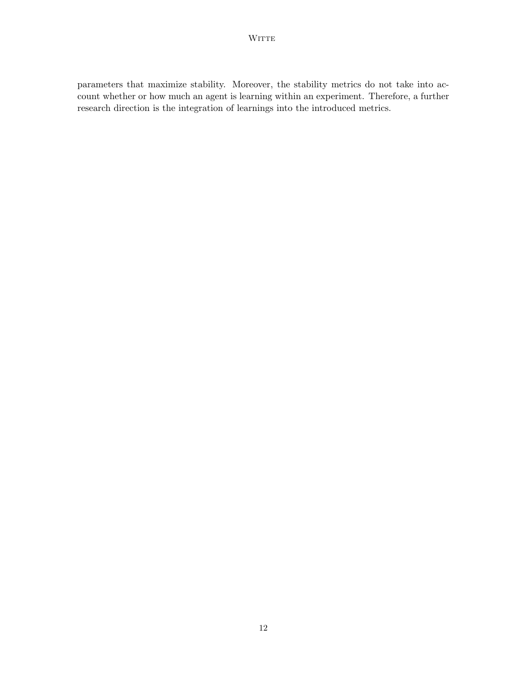parameters that maximize stability. Moreover, the stability metrics do not take into account whether or how much an agent is learning within an experiment. Therefore, a further research direction is the integration of learnings into the introduced metrics.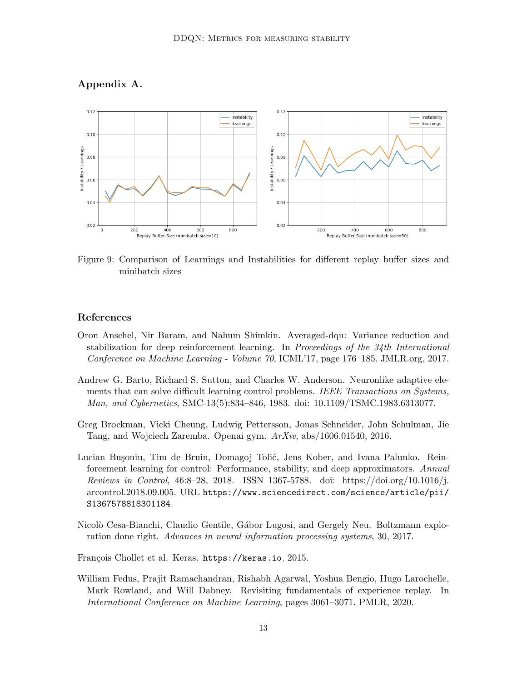

### Appendix A.

Figure 9: Comparison of Learnings and Instabilities for different replay buffer sizes and minibatch sizes

### References

- Oron Anschel, Nir Baram, and Nahum Shimkin. Averaged-dqn: Variance reduction and stabilization for deep reinforcement learning. In Proceedings of the  $34th$  International Conference on Machine Learning - Volume 70, ICML'17, page 176–185. JMLR.org, 2017.
- Andrew G. Barto, Richard S. Sutton, and Charles W. Anderson. Neuronlike adaptive elements that can solve difficult learning control problems. IEEE Transactions on Systems, Man, and Cybernetics, SMC-13(5):834-846, 1983. doi: 10.1109/TSMC.1983.6313077.
- Greg Brockman, Vicki Cheung, Ludwig Pettersson, Jonas Schneider, John Schulman, Jie Tang, and Wojciech Zaremba. Openai gym.  $ArXiv$ , abs/1606.01540, 2016.
- Lucian Bușoniu, Tim de Bruin, Domagoj Tolić, Jens Kober, and Ivana Palunko. Reinforcement learning for control: Performance, stability, and deep approximators. Annual *Reviews in Control*, 46:8–28, 2018. ISSN 1367-5788. doi: https://doi.org/10.1016/j. arcontrol.2018.09.005. URL https://www.sciencedirect.com/science/article/pii/ S1367578818301184.
- Nicolò Cesa-Bianchi, Claudio Gentile, Gábor Lugosi, and Gergely Neu. Boltzmann exploration done right. Advances in neural information processing systems, 30, 2017.
- François Chollet et al. Keras. https://keras.io, 2015.
- William Fedus, Prajit Ramachandran, Rishabh Agarwal, Yoshua Bengio, Hugo Larochelle, Mark Rowland, and Will Dabney. Revisiting fundamentals of experience replay. In *International Conference on Machine Learning*, pages 3061–3071. PMLR, 2020.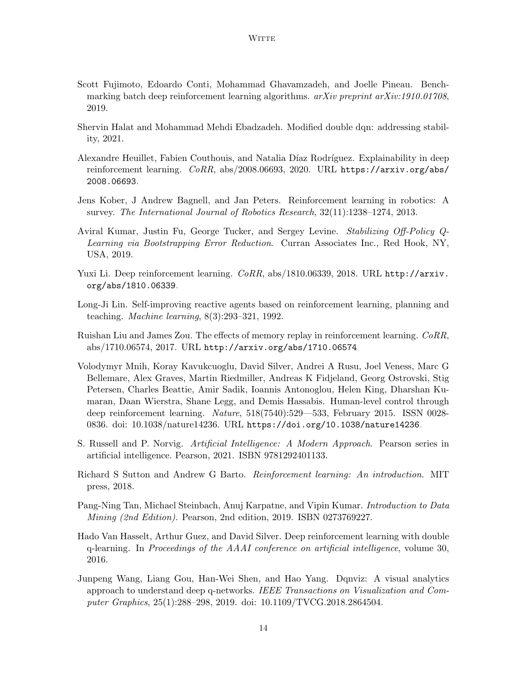- Scott Fujimoto, Edoardo Conti, Mohammad Ghavamzadeh, and Joelle Pineau. Benchmarking batch deep reinforcement learning algorithms.  $arXiv$  preprint  $arXiv:1910.01708$ , 2019.
- Shervin Halat and Mohammad Mehdi Ebadzadeh. Modified double dqn: addressing stability, 2021.
- Alexandre Heuillet, Fabien Couthouis, and Natalia Díaz Rodríguez. Explainability in deep reinforcement learning. CoRR, abs/2008.06693, 2020. URL https://arxiv.org/abs/ 2008.06693.
- Jens Kober, J Andrew Bagnell, and Jan Peters. Reinforcement learning in robotics: A survey. The International Journal of Robotics Research, 32(11):1238-1274, 2013.
- Aviral Kumar, Justin Fu, George Tucker, and Sergey Levine. Stabilizing Off-Policy Q-Learning via Bootstrapping Error Reduction. Curran Associates Inc., Red Hook, NY. USA, 2019.
- Yuxi Li. Deep reinforcement learning. CoRR, abs/1810.06339, 2018. URL http://arxiv. org/abs/1810.06339.
- Long-Ji Lin. Self-improving reactive agents based on reinforcement learning, planning and teaching. *Machine learning*,  $8(3):293-321$ , 1992.
- Ruishan Liu and James Zou. The effects of memory replay in reinforcement learning. CoRR, abs/1710.06574, 2017. URL http://arxiv.org/abs/1710.06574.
- Volodymyr Mnih, Koray Kavukcuoglu, David Silver, Andrei A Rusu, Joel Veness, Marc G Bellemare, Alex Graves, Martin Riedmiller, Andreas K Fidjeland, Georg Ostrovski, Stig Petersen, Charles Beattie, Amir Sadik, Ioannis Antonoglou, Helen King, Dharshan Kumaran, Daan Wierstra, Shane Legg, and Demis Hassabis. Human-level control through deep reinforcement learning. Nature, 518(7540):529—533, February 2015. ISSN 0028-0836. doi: 10.1038/nature14236. URL https://doi.org/10.1038/nature14236.
- S. Russell and P. Norvig. Artificial Intelligence: A Modern Approach. Pearson series in artificial intelligence. Pearson, 2021. ISBN 9781292401133.
- Richard S Sutton and Andrew G Barto. Reinforcement learning: An introduction. MIT press, 2018.
- Pang-Ning Tan, Michael Steinbach, Anuj Karpatne, and Vipin Kumar. Introduction to Data Mining (2nd Edition). Pearson, 2nd edition, 2019. ISBN 0273769227.
- Hado Van Hasselt, Arthur Guez, and David Silver. Deep reinforcement learning with double q-learning. In Proceedings of the AAAI conference on artificial intelligence, volume 30, 2016.
- Junpeng Wang, Liang Gou, Han-Wei Shen, and Hao Yang. Dqnviz: A visual analytics approach to understand deep q-networks. IEEE Transactions on Visualization and Computer Graphics, 25(1):288–298, 2019. doi: 10.1109/TVCG.2018.2864504.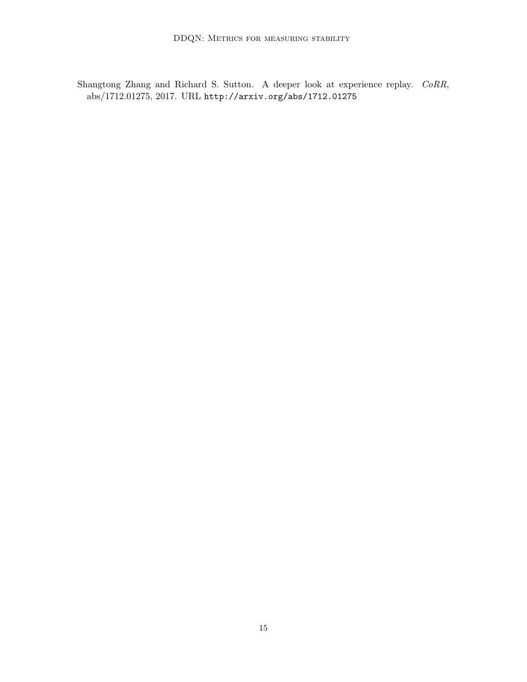Shangtong Zhang and Richard S. Sutton. A deeper look at experience replay. CoRR,  $abs/1712.01275, 2017. \text{ URL http://arxiv.org/abs/1712.01275.}$